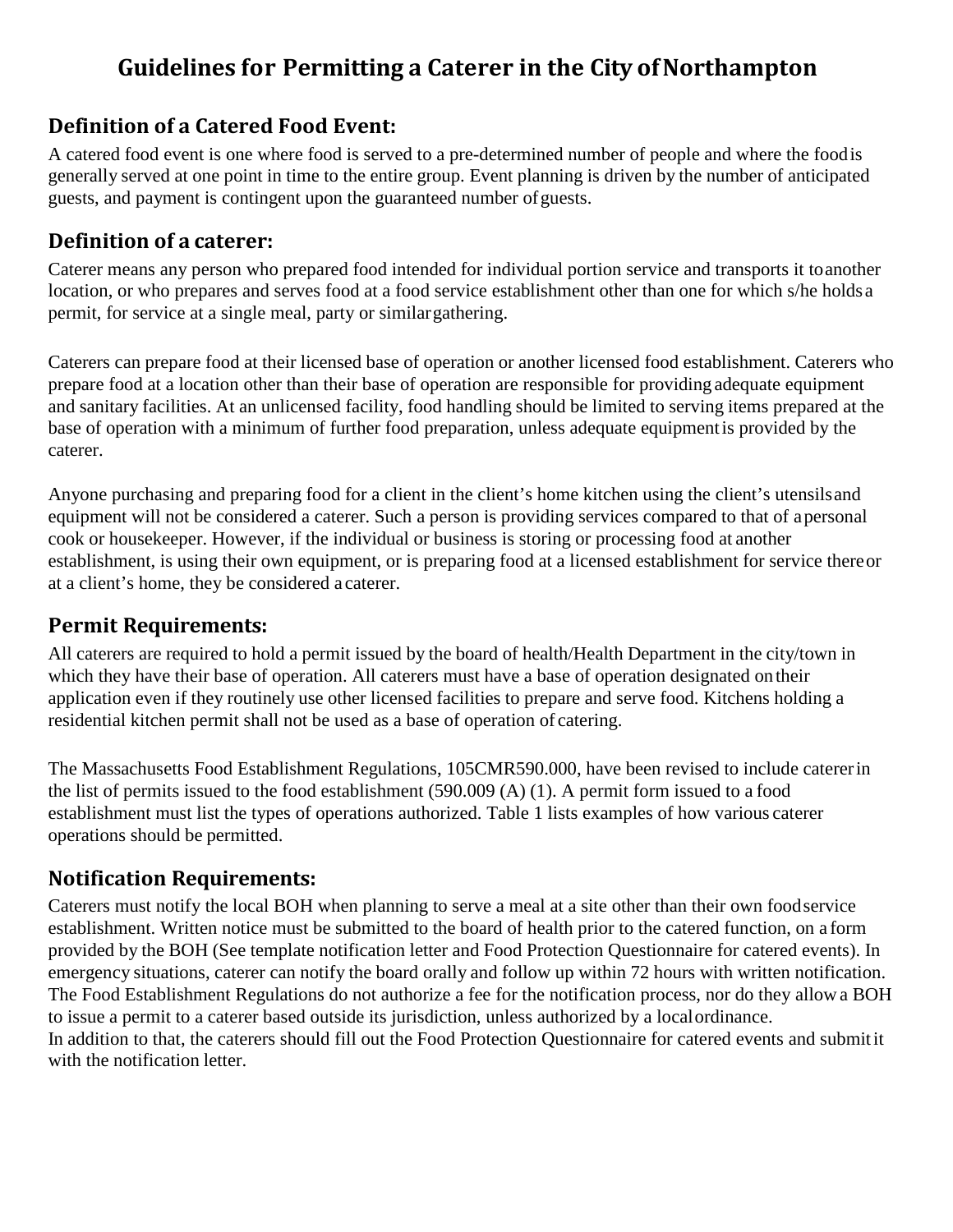### **Guidelines for Permitting a Caterer in the City ofNorthampton**

#### **Definition of a Catered Food Event:**

A catered food event is one where food is served to a pre-determined number of people and where the foodis generally served at one point in time to the entire group. Event planning is driven by the number of anticipated guests, and payment is contingent upon the guaranteed number ofguests.

#### **Definition of a caterer:**

Caterer means any person who prepared food intended for individual portion service and transports it toanother location, or who prepares and serves food at a food service establishment other than one for which s/he holds a permit, for service at a single meal, party or similargathering.

Caterers can prepare food at their licensed base of operation or another licensed food establishment. Caterers who prepare food at a location other than their base of operation are responsible for providing adequate equipment and sanitary facilities. At an unlicensed facility, food handling should be limited to serving items prepared at the base of operation with a minimum of further food preparation, unless adequate equipmentis provided by the caterer.

Anyone purchasing and preparing food for a client in the client's home kitchen using the client's utensilsand equipment will not be considered a caterer. Such a person is providing services compared to that of apersonal cook or housekeeper. However, if the individual or business is storing or processing food at another establishment, is using their own equipment, or is preparing food at a licensed establishment for service thereor at a client's home, they be considered a caterer.

#### **Permit Requirements:**

All caterers are required to hold a permit issued by the board of health/Health Department in the city/town in which they have their base of operation. All caterers must have a base of operation designated ontheir application even if they routinely use other licensed facilities to prepare and serve food. Kitchens holding a residential kitchen permit shall not be used as a base of operation of catering.

The Massachusetts Food Establishment Regulations, 105CMR590.000, have been revised to include catererin the list of permits issued to the food establishment (590.009 (A) (1). A permit form issued to a food establishment must list the types of operations authorized. Table 1 lists examples of how various caterer operations should be permitted.

#### **Notification Requirements:**

Caterers must notify the local BOH when planning to serve a meal at a site other than their own foodservice establishment. Written notice must be submitted to the board of health prior to the catered function, on a form provided by the BOH (See template notification letter and Food Protection Questionnaire for catered events). In emergency situations, caterer can notify the board orally and follow up within 72 hours with written notification. The Food Establishment Regulations do not authorize a fee for the notification process, nor do they allow a BOH to issue a permit to a caterer based outside its jurisdiction, unless authorized by a localordinance. In addition to that, the caterers should fill out the Food Protection Questionnaire for catered events and submitit with the notification letter.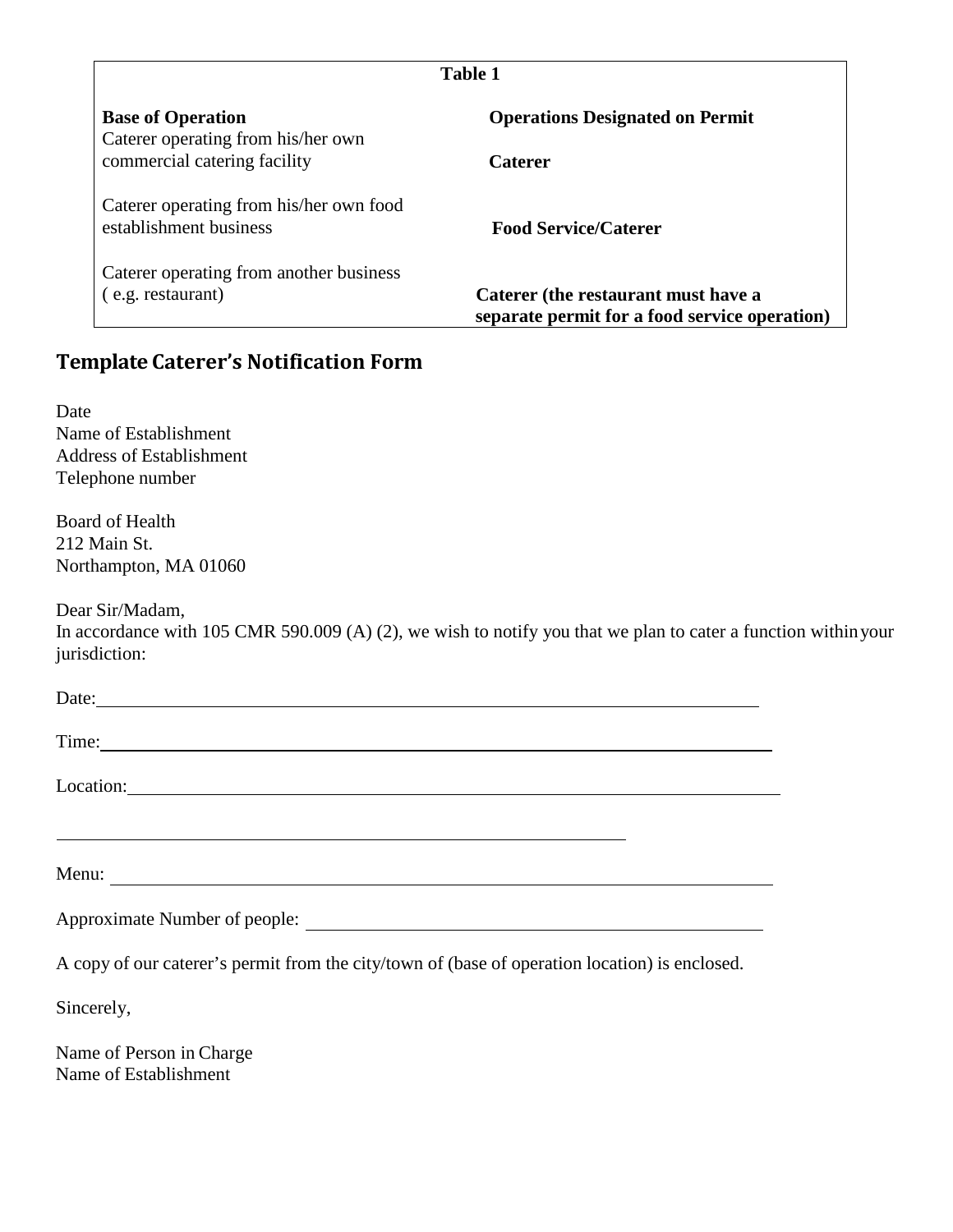| <b>Table 1</b>                                                    |                                                                                      |  |
|-------------------------------------------------------------------|--------------------------------------------------------------------------------------|--|
| <b>Base of Operation</b><br>Caterer operating from his/her own    | <b>Operations Designated on Permit</b>                                               |  |
| commercial catering facility                                      | <b>Caterer</b>                                                                       |  |
| Caterer operating from his/her own food<br>establishment business | <b>Food Service/Caterer</b>                                                          |  |
| Caterer operating from another business                           |                                                                                      |  |
| (e.g. restaurant)                                                 | Caterer (the restaurant must have a<br>separate permit for a food service operation) |  |

#### **Template Caterer's Notification Form**

Date Name of Establishment Address of Establishment Telephone number

Board of Health 212 Main St. Northampton, MA 01060

Dear Sir/Madam,

In accordance with 105 CMR 590.009 (A) (2), we wish to notify you that we plan to cater a function withinyour jurisdiction:

| Time:                                                                                          |
|------------------------------------------------------------------------------------------------|
| Location:                                                                                      |
|                                                                                                |
|                                                                                                |
| Approximate Number of people:                                                                  |
| A copy of our caterer's permit from the city/town of (base of operation location) is enclosed. |
| Sincerely,                                                                                     |
| Name of Person in Charge<br>Name of Establishment                                              |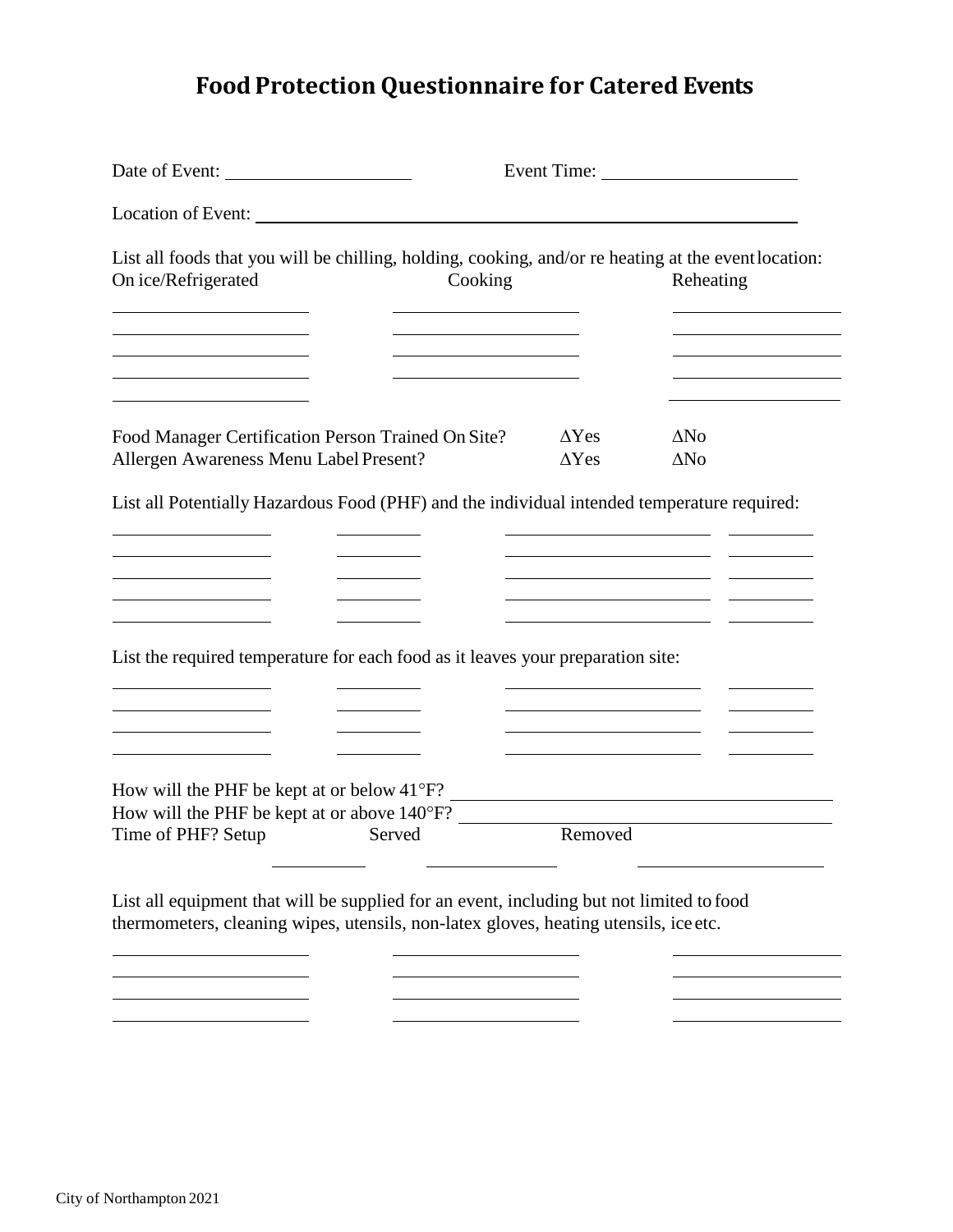## **Food Protection Questionnaire for Catered Events**

| Date of Event:                                                                                                                                                                   |              |             |  |
|----------------------------------------------------------------------------------------------------------------------------------------------------------------------------------|--------------|-------------|--|
| Location of Event:                                                                                                                                                               |              |             |  |
| List all foods that you will be chilling, holding, cooking, and/or re heating at the event location:<br>On ice/Refrigerated<br>Cooking                                           |              | Reheating   |  |
| Food Manager Certification Person Trained On Site?                                                                                                                               | $\Delta Yes$ | $\Delta$ No |  |
| Allergen Awareness Menu Label Present?<br>List all Potentially Hazardous Food (PHF) and the individual intended temperature required:                                            | $\Delta Yes$ | $\Delta$ No |  |
|                                                                                                                                                                                  |              |             |  |
|                                                                                                                                                                                  |              |             |  |
| List the required temperature for each food as it leaves your preparation site:                                                                                                  |              |             |  |
|                                                                                                                                                                                  |              |             |  |
|                                                                                                                                                                                  |              |             |  |
| How will the PHF be kept at or below $41^{\circ}F$ ?<br>How will the PHF be kept at or above 140°F?                                                                              |              |             |  |
| Time of PHF? Setup<br>Served                                                                                                                                                     | Removed      |             |  |
| List all equipment that will be supplied for an event, including but not limited to food<br>thermometers, cleaning wipes, utensils, non-latex gloves, heating utensils, ice etc. |              |             |  |
|                                                                                                                                                                                  |              |             |  |
|                                                                                                                                                                                  |              |             |  |